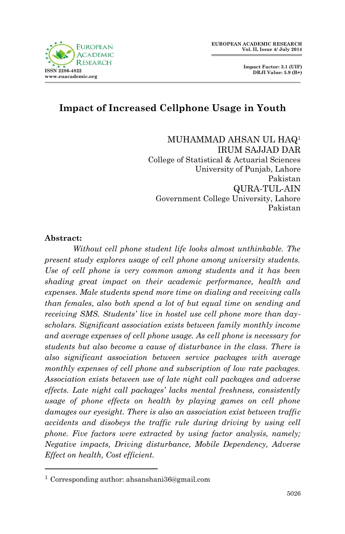

# **Impact of Increased Cellphone Usage in Youth**

MUHAMMAD AHSAN UL HAQ<sup>1</sup> IRUM SAJJAD DAR College of Statistical & Actuarial Sciences University of Punjab, Lahore Pakistan QURA-TUL-AIN Government College University, Lahore Pakistan

#### **Abstract:**

**.** 

*Without cell phone student life looks almost unthinkable. The present study explores usage of cell phone among university students. Use of cell phone is very common among students and it has been shading great impact on their academic performance, health and expenses. Male students spend more time on dialing and receiving calls than females, also both spend a lot of but equal time on sending and receiving SMS. Students' live in hostel use cell phone more than dayscholars. Significant association exists between family monthly income and average expenses of cell phone usage. As cell phone is necessary for students but also become a cause of disturbance in the class. There is also significant association between service packages with average monthly expenses of cell phone and subscription of low rate packages. Association exists between use of late night call packages and adverse effects. Late night call packages' lacks mental freshness, consistently usage of phone effects on health by playing games on cell phone damages our eyesight. There is also an association exist between traffic accidents and disobeys the traffic rule during driving by using cell phone. Five factors were extracted by using factor analysis, namely; Negative impacts, Driving disturbance, Mobile Dependency, Adverse Effect on health, Cost efficient.*

<sup>1</sup> Corresponding author: ahsanshani36@gmail.com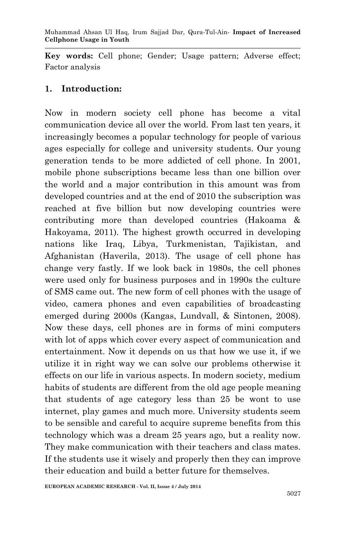**Key words:** Cell phone; Gender; Usage pattern; Adverse effect; Factor analysis

### **1. Introduction:**

Now in modern society cell phone has become a vital communication device all over the world. From last ten years, it increasingly becomes a popular technology for people of various ages especially for college and university students. Our young generation tends to be more addicted of cell phone. In 2001, mobile phone subscriptions became less than one billion over the world and a major contribution in this amount was from developed countries and at the end of 2010 the subscription was reached at five billion but now developing countries were contributing more than developed countries (Hakoama & Hakoyama, 2011). The highest growth occurred in developing nations like Iraq, Libya, Turkmenistan, Tajikistan, and Afghanistan (Haverila, 2013). The usage of cell phone has change very fastly. If we look back in 1980s, the cell phones were used only for business purposes and in 1990s the culture of SMS came out. The new form of cell phones with the usage of video, camera phones and even capabilities of broadcasting emerged during 2000s (Kangas, Lundvall, & Sintonen, 2008). Now these days, cell phones are in forms of mini computers with lot of apps which cover every aspect of communication and entertainment. Now it depends on us that how we use it, if we utilize it in right way we can solve our problems otherwise it effects on our life in various aspects. In modern society, medium habits of students are different from the old age people meaning that students of age category less than 25 be wont to use internet, play games and much more. University students seem to be sensible and careful to acquire supreme benefits from this technology which was a dream 25 years ago, but a reality now. They make communication with their teachers and class mates. If the students use it wisely and properly then they can improve their education and build a better future for themselves.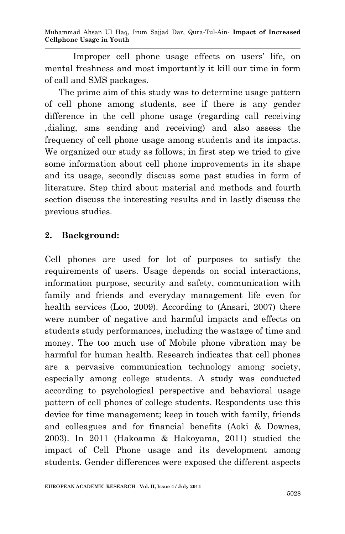Muhammad Ahsan Ul Haq, Irum Sajjad Dar, Qura-Tul-Ain*-* **Impact of Increased Cellphone Usage in Youth**

Improper cell phone usage effects on users' life, on mental freshness and most importantly it kill our time in form of call and SMS packages.

The prime aim of this study was to determine usage pattern of cell phone among students, see if there is any gender difference in the cell phone usage (regarding call receiving ,dialing, sms sending and receiving) and also assess the frequency of cell phone usage among students and its impacts. We organized our study as follows; in first step we tried to give some information about cell phone improvements in its shape and its usage, secondly discuss some past studies in form of literature. Step third about material and methods and fourth section discuss the interesting results and in lastly discuss the previous studies.

### **2. Background:**

Cell phones are used for lot of purposes to satisfy the requirements of users. Usage depends on social interactions, information purpose, security and safety, communication with family and friends and everyday management life even for health services (Loo, 2009). According to (Ansari, 2007) there were number of negative and harmful impacts and effects on students study performances, including the wastage of time and money. The too much use of Mobile phone vibration may be harmful for human health. Research indicates that cell phones are a pervasive communication technology among society, especially among college students. A study was conducted according to psychological perspective and behavioral usage pattern of cell phones of college students. Respondents use this device for time management; keep in touch with family, friends and colleagues and for financial benefits (Aoki & Downes, 2003). In 2011 (Hakoama & Hakoyama, 2011) studied the impact of Cell Phone usage and its development among students. Gender differences were exposed the different aspects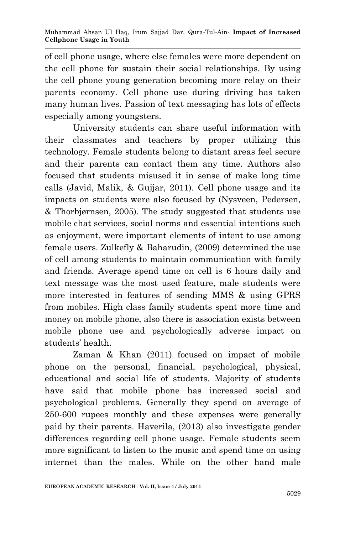of cell phone usage, where else females were more dependent on the cell phone for sustain their social relationships. By using the cell phone young generation becoming more relay on their parents economy. Cell phone use during driving has taken many human lives. Passion of text messaging has lots of effects especially among youngsters.

University students can share useful information with their classmates and teachers by proper utilizing this technology. Female students belong to distant areas feel secure and their parents can contact them any time. Authors also focused that students misused it in sense of make long time calls (Javid, Malik, & Gujjar, 2011). Cell phone usage and its impacts on students were also focused by (Nysveen, Pedersen, & Thorbjørnsen, 2005). The study suggested that students use mobile chat services, social norms and essential intentions such as enjoyment, were important elements of intent to use among female users. Zulkefly & Baharudin, (2009) determined the use of cell among students to maintain communication with family and friends. Average spend time on cell is 6 hours daily and text message was the most used feature, male students were more interested in features of sending MMS & using GPRS from mobiles. High class family students spent more time and money on mobile phone, also there is association exists between mobile phone use and psychologically adverse impact on students' health.

Zaman & Khan (2011) focused on impact of mobile phone on the personal, financial, psychological, physical, educational and social life of students. Majority of students have said that mobile phone has increased social and psychological problems. Generally they spend on average of 250-600 rupees monthly and these expenses were generally paid by their parents. Haverila, (2013) also investigate gender differences regarding cell phone usage. Female students seem more significant to listen to the music and spend time on using internet than the males. While on the other hand male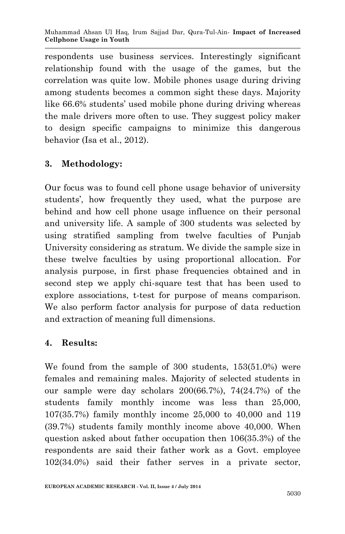respondents use business services. Interestingly significant relationship found with the usage of the games, but the correlation was quite low. Mobile phones usage during driving among students becomes a common sight these days. Majority like 66.6% students' used mobile phone during driving whereas the male drivers more often to use. They suggest policy maker to design specific campaigns to minimize this dangerous behavior (Isa et al., 2012).

## **3. Methodology:**

Our focus was to found cell phone usage behavior of university students', how frequently they used, what the purpose are behind and how cell phone usage influence on their personal and university life. A sample of 300 students was selected by using stratified sampling from twelve faculties of Punjab University considering as stratum. We divide the sample size in these twelve faculties by using proportional allocation. For analysis purpose, in first phase frequencies obtained and in second step we apply chi-square test that has been used to explore associations, t-test for purpose of means comparison. We also perform factor analysis for purpose of data reduction and extraction of meaning full dimensions.

## **4. Results:**

We found from the sample of 300 students, 153(51.0%) were females and remaining males. Majority of selected students in our sample were day scholars 200(66.7%), 74(24.7%) of the students family monthly income was less than 25,000, 107(35.7%) family monthly income 25,000 to 40,000 and 119 (39.7%) students family monthly income above 40,000. When question asked about father occupation then 106(35.3%) of the respondents are said their father work as a Govt. employee 102(34.0%) said their father serves in a private sector,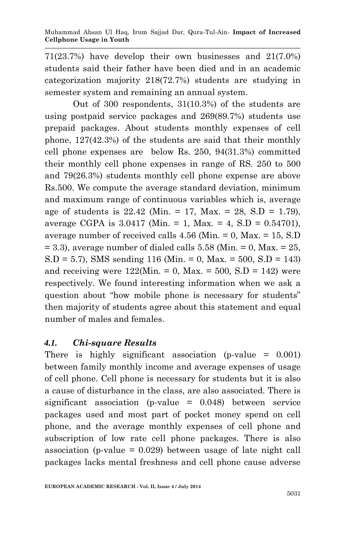71(23.7%) have develop their own businesses and 21(7.0%) students said their father have been died and in an academic categorization majority 218(72.7%) students are studying in semester system and remaining an annual system.

Out of 300 respondents, 31(10.3%) of the students are using postpaid service packages and 269(89.7%) students use prepaid packages. About students monthly expenses of cell phone, 127(42.3%) of the students are said that their monthly cell phone expenses are below Rs. 250, 94(31.3%) committed their monthly cell phone expenses in range of RS. 250 to 500 and 79(26.3%) students monthly cell phone expense are above Rs.500. We compute the average standard deviation, minimum and maximum range of continuous variables which is, average age of students is  $22.42$  (Min. = 17, Max. = 28, S.D = 1.79), average CGPA is 3.0417 (Min. = 1, Max. = 4, S.D = 0.54701), average number of received calls  $4.56$  (Min. = 0, Max. = 15, S.D  $= 3.3$ ), average number of dialed calls  $5.58$  (Min.  $= 0$ , Max.  $= 25$ ,  $S.D = 5.7$ , SMS sending 116 (Min. = 0, Max. = 500, S.D = 143) and receiving were  $122(Min. = 0$ , Max. =  $500$ , S.D =  $142$ ) were respectively. We found interesting information when we ask a question about "how mobile phone is necessary for students" then majority of students agree about this statement and equal number of males and females.

## *4.1. Chi-square Results*

There is highly significant association (p-value  $= 0.001$ ) between family monthly income and average expenses of usage of cell phone. Cell phone is necessary for students but it is also a cause of disturbance in the class, are also associated. There is significant association (p-value  $= 0.048$ ) between service packages used and most part of pocket money spend on cell phone, and the average monthly expenses of cell phone and subscription of low rate cell phone packages. There is also association (p-value = 0.029) between usage of late night call packages lacks mental freshness and cell phone cause adverse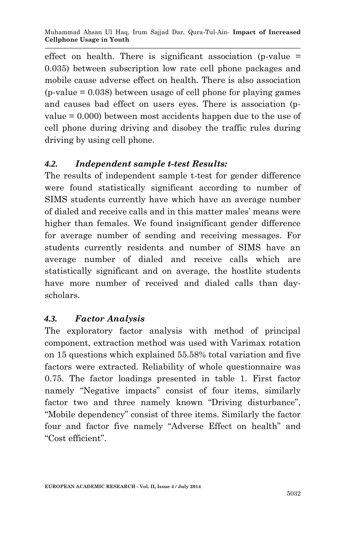effect on health. There is significant association (p-value  $=$ 0.035) between subscription low rate cell phone packages and mobile cause adverse effect on health. There is also association  $(p-value = 0.038)$  between usage of cell phone for playing games and causes bad effect on users eyes. There is association (pvalue = 0.000) between most accidents happen due to the use of cell phone during driving and disobey the traffic rules during driving by using cell phone.

## *4.2. Independent sample t-test Results:*

The results of independent sample t-test for gender difference were found statistically significant according to number of SIMS students currently have which have an average number of dialed and receive calls and in this matter males' means were higher than females. We found insignificant gender difference for average number of sending and receiving messages. For students currently residents and number of SIMS have an average number of dialed and receive calls which are statistically significant and on average, the hostlite students have more number of received and dialed calls than dayscholars.

# *4.3. Factor Analysis*

The exploratory factor analysis with method of principal component, extraction method was used with Varimax rotation on 15 questions which explained 55.58% total variation and five factors were extracted. Reliability of whole questionnaire was 0.75. The factor loadings presented in table 1. First factor namely "Negative impacts" consist of four items, similarly factor two and three namely known "Driving disturbance", "Mobile dependency" consist of three items. Similarly the factor four and factor five namely "Adverse Effect on health" and "Cost efficient".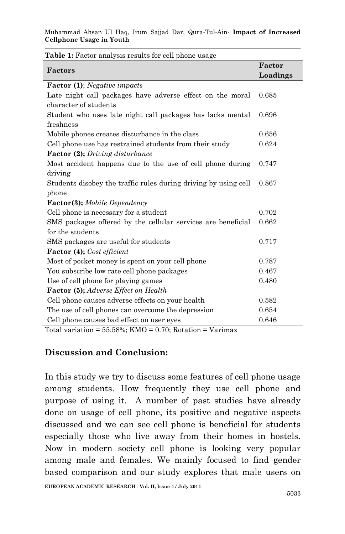Muhammad Ahsan Ul Haq, Irum Sajjad Dar, Qura-Tul-Ain*-* **Impact of Increased Cellphone Usage in Youth**

| Factors                                                                                                                                                        | Factor   |
|----------------------------------------------------------------------------------------------------------------------------------------------------------------|----------|
|                                                                                                                                                                | Loadings |
| Factor (1); Negative impacts                                                                                                                                   |          |
| Late night call packages have adverse effect on the moral                                                                                                      | 0.685    |
| character of students                                                                                                                                          |          |
| Student who uses late night call packages has lacks mental                                                                                                     | 0.696    |
| freshness                                                                                                                                                      |          |
| Mobile phones creates disturbance in the class                                                                                                                 | 0.656    |
| Cell phone use has restrained students from their study                                                                                                        | 0.624    |
| <b>Factor (2);</b> Driving disturbance                                                                                                                         |          |
| Most accident happens due to the use of cell phone during                                                                                                      | 0.747    |
| driving                                                                                                                                                        |          |
| Students disobey the traffic rules during driving by using cell                                                                                                | 0.867    |
| phone                                                                                                                                                          |          |
| Factor(3); Mobile Dependency                                                                                                                                   |          |
| Cell phone is necessary for a student                                                                                                                          | 0.702    |
| SMS packages offered by the cellular services are beneficial                                                                                                   | 0.662    |
| for the students                                                                                                                                               |          |
| SMS packages are useful for students                                                                                                                           | 0.717    |
| <b>Factor</b> (4); Cost efficient                                                                                                                              |          |
| Most of pocket money is spent on your cell phone                                                                                                               | 0.787    |
| You subscribe low rate cell phone packages                                                                                                                     | 0.467    |
| Use of cell phone for playing games                                                                                                                            | 0.480    |
| Factor (5); Adverse Effect on Health                                                                                                                           |          |
| Cell phone causes adverse effects on your health                                                                                                               | 0.582    |
| The use of cell phones can overcome the depression                                                                                                             | 0.654    |
| Cell phone causes bad effect on user eyes<br>$\mathbf{v}$ $\mathbf{v}$ $\mathbf{v}$ $\alpha$ $\alpha$ $\mathbf{v}$ $\mathbf{v}$ $\mathbf{v}$<br>0.70.71<br>TT. | 0.646    |

**Table 1:** Factor analysis results for cell phone usage

Total variation =  $55.58\%$ ; KMO =  $0.70$ ; Rotation = Varimax

#### **Discussion and Conclusion:**

In this study we try to discuss some features of cell phone usage among students. How frequently they use cell phone and purpose of using it. A number of past studies have already done on usage of cell phone, its positive and negative aspects discussed and we can see cell phone is beneficial for students especially those who live away from their homes in hostels. Now in modern society cell phone is looking very popular among male and females. We mainly focused to find gender based comparison and our study explores that male users on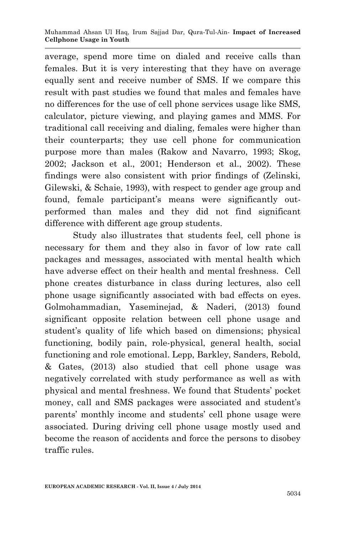average, spend more time on dialed and receive calls than females. But it is very interesting that they have on average equally sent and receive number of SMS. If we compare this result with past studies we found that males and females have no differences for the use of cell phone services usage like SMS, calculator, picture viewing, and playing games and MMS. For traditional call receiving and dialing, females were higher than their counterparts; they use cell phone for communication purpose more than males (Rakow and Navarro, 1993; Skog, 2002; Jackson et al., 2001; Henderson et al., 2002). These findings were also consistent with prior findings of (Zelinski, Gilewski, & Schaie, 1993), with respect to gender age group and found, female participant's means were significantly outperformed than males and they did not find significant difference with different age group students.

Study also illustrates that students feel, cell phone is necessary for them and they also in favor of low rate call packages and messages, associated with mental health which have adverse effect on their health and mental freshness. Cell phone creates disturbance in class during lectures, also cell phone usage significantly associated with bad effects on eyes. Golmohammadian, Yaseminejad, & Naderi, (2013) found significant opposite relation between cell phone usage and student's quality of life which based on dimensions; physical functioning, bodily pain, role-physical, general health, social functioning and role emotional. Lepp, Barkley, Sanders, Rebold, & Gates, (2013) also studied that cell phone usage was negatively correlated with study performance as well as with physical and mental freshness. We found that Students' pocket money, call and SMS packages were associated and student's parents' monthly income and students' cell phone usage were associated. During driving cell phone usage mostly used and become the reason of accidents and force the persons to disobey traffic rules.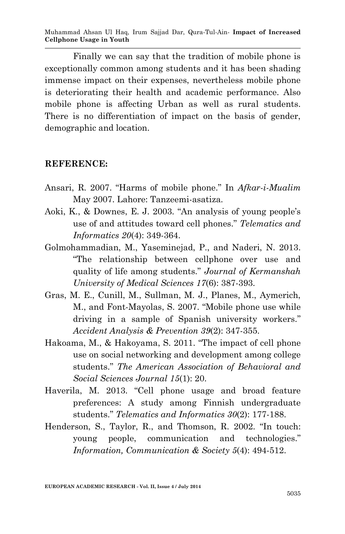Muhammad Ahsan Ul Haq, Irum Sajjad Dar, Qura-Tul-Ain*-* **Impact of Increased Cellphone Usage in Youth**

Finally we can say that the tradition of mobile phone is exceptionally common among students and it has been shading immense impact on their expenses, nevertheless mobile phone is deteriorating their health and academic performance. Also mobile phone is affecting Urban as well as rural students. There is no differentiation of impact on the basis of gender, demographic and location.

#### **REFERENCE:**

- Ansari, R. 2007. "Harms of mobile phone." In *Afkar-i-Mualim* May 2007. Lahore: Tanzeemi-asatiza.
- Aoki, K., & Downes, E. J. 2003. "An analysis of young people's use of and attitudes toward cell phones." *Telematics and Informatics 20*(4): 349-364.
- Golmohammadian, M., Yaseminejad, P., and Naderi, N. 2013. "The relationship between cellphone over use and quality of life among students." *Journal of Kermanshah University of Medical Sciences 17*(6): 387-393.
- Gras, M. E., Cunill, M., Sullman, M. J., Planes, M., Aymerich, M., and Font-Mayolas, S. 2007. "Mobile phone use while driving in a sample of Spanish university workers." *Accident Analysis & Prevention 39*(2): 347-355.
- Hakoama, M., & Hakoyama, S. 2011. "The impact of cell phone use on social networking and development among college students." *The American Association of Behavioral and Social Sciences Journal 15*(1): 20.
- Haverila, M. 2013. "Cell phone usage and broad feature preferences: A study among Finnish undergraduate students." *Telematics and Informatics 30*(2): 177-188.
- Henderson, S., Taylor, R., and Thomson, R. 2002. "In touch: young people, communication and technologies." *Information, Communication & Society 5*(4): 494-512.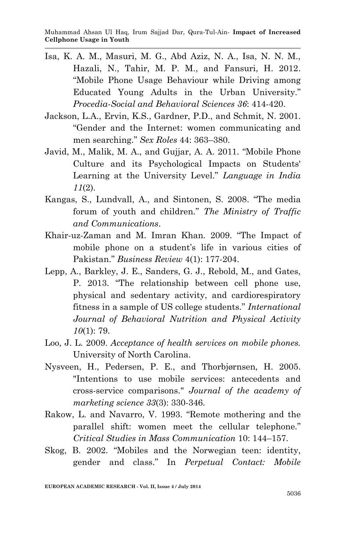- Isa, K. A. M., Masuri, M. G., Abd Aziz, N. A., Isa, N. N. M., Hazali, N., Tahir, M. P. M., and Fansuri, H. 2012. "Mobile Phone Usage Behaviour while Driving among Educated Young Adults in the Urban University." *Procedia-Social and Behavioral Sciences 36*: 414-420.
- Jackson, L.A., Ervin, K.S., Gardner, P.D., and Schmit, N. 2001. "Gender and the Internet: women communicating and men searching." *Sex Roles* 44: 363–380.
- Javid, M., Malik, M. A., and Gujjar, A. A. 2011. "Mobile Phone Culture and its Psychological Impacts on Students' Learning at the University Level." *Language in India 11*(2).
- Kangas, S., Lundvall, A., and Sintonen, S. 2008. "The media forum of youth and children." *The Ministry of Traffic and Communications*.
- Khair-uz-Zaman and M. Imran Khan. 2009. "The Impact of mobile phone on a student's life in various cities of Pakistan." *Business Review* 4(1): 177-204.
- Lepp, A., Barkley, J. E., Sanders, G. J., Rebold, M., and Gates, P. 2013. "The relationship between cell phone use, physical and sedentary activity, and cardiorespiratory fitness in a sample of US college students." *International Journal of Behavioral Nutrition and Physical Activity 10*(1): 79.
- Loo, J. L. 2009. *Acceptance of health services on mobile phones.* University of North Carolina.
- Nysveen, H., Pedersen, P. E., and Thorbjørnsen, H. 2005. "Intentions to use mobile services: antecedents and cross-service comparisons." *Journal of the academy of marketing science 33*(3): 330-346.
- Rakow, L. and Navarro, V. 1993. "Remote mothering and the parallel shift: women meet the cellular telephone." *Critical Studies in Mass Communication* 10: 144–157.
- Skog, B. 2002. "Mobiles and the Norwegian teen: identity, gender and class." In *Perpetual Contact: Mobile*